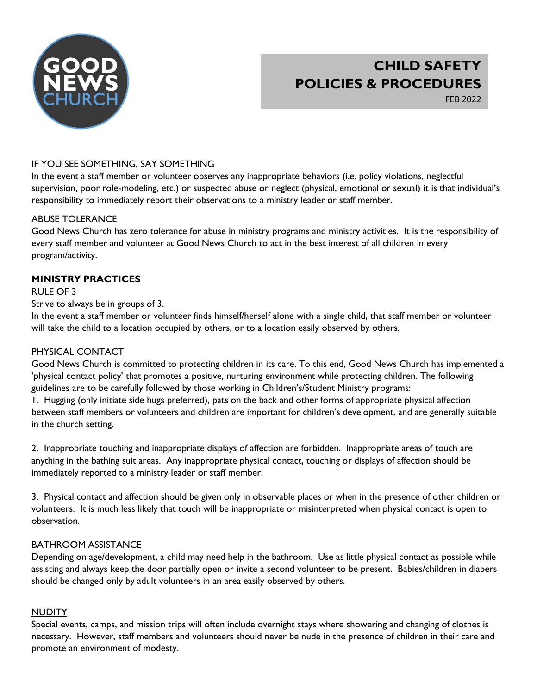

# CHILD SAFETY POLICIES & PROCEDURES

FEB 2022

# IF YOU SEE SOMETHING, SAY SOMETHING

In the event a staff member or volunteer observes any inappropriate behaviors (i.e. policy violations, neglectful supervision, poor role-modeling, etc.) or suspected abuse or neglect (physical, emotional or sexual) it is that individual's responsibility to immediately report their observations to a ministry leader or staff member.

# ABUSE TOLERANCE

Good News Church has zero tolerance for abuse in ministry programs and ministry activities. It is the responsibility of every staff member and volunteer at Good News Church to act in the best interest of all children in every program/activity.

# MINISTRY PRACTICES

# RULE OF 3

Strive to always be in groups of 3.

In the event a staff member or volunteer finds himself/herself alone with a single child, that staff member or volunteer will take the child to a location occupied by others, or to a location easily observed by others.

# PHYSICAL CONTACT

Good News Church is committed to protecting children in its care. To this end, Good News Church has implemented a 'physical contact policy' that promotes a positive, nurturing environment while protecting children. The following guidelines are to be carefully followed by those working in Children's/Student Ministry programs:

1. Hugging (only initiate side hugs preferred), pats on the back and other forms of appropriate physical affection between staff members or volunteers and children are important for children's development, and are generally suitable in the church setting.

2. Inappropriate touching and inappropriate displays of affection are forbidden. Inappropriate areas of touch are anything in the bathing suit areas. Any inappropriate physical contact, touching or displays of affection should be immediately reported to a ministry leader or staff member.

3. Physical contact and affection should be given only in observable places or when in the presence of other children or volunteers. It is much less likely that touch will be inappropriate or misinterpreted when physical contact is open to observation.

# BATHROOM ASSISTANCE

Depending on age/development, a child may need help in the bathroom. Use as little physical contact as possible while assisting and always keep the door partially open or invite a second volunteer to be present. Babies/children in diapers should be changed only by adult volunteers in an area easily observed by others.

# NUDITY

Special events, camps, and mission trips will often include overnight stays where showering and changing of clothes is necessary. However, staff members and volunteers should never be nude in the presence of children in their care and promote an environment of modesty.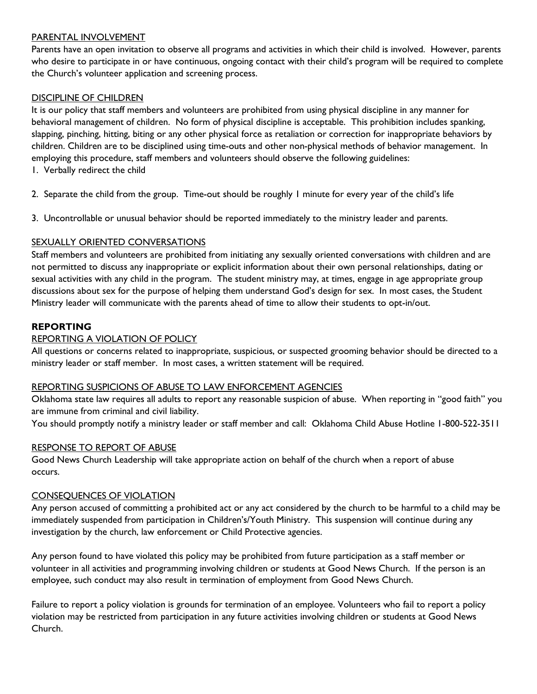#### PARENTAL INVOLVEMENT

Parents have an open invitation to observe all programs and activities in which their child is involved. However, parents who desire to participate in or have continuous, ongoing contact with their child's program will be required to complete the Church's volunteer application and screening process.

# DISCIPLINE OF CHILDREN

It is our policy that staff members and volunteers are prohibited from using physical discipline in any manner for behavioral management of children. No form of physical discipline is acceptable. This prohibition includes spanking, slapping, pinching, hitting, biting or any other physical force as retaliation or correction for inappropriate behaviors by children. Children are to be disciplined using time-outs and other non-physical methods of behavior management. In employing this procedure, staff members and volunteers should observe the following guidelines:

- 1. Verbally redirect the child
- 2. Separate the child from the group. Time-out should be roughly 1 minute for every year of the child's life
- 3. Uncontrollable or unusual behavior should be reported immediately to the ministry leader and parents.

#### SEXUALLY ORIENTED CONVERSATIONS

Staff members and volunteers are prohibited from initiating any sexually oriented conversations with children and are not permitted to discuss any inappropriate or explicit information about their own personal relationships, dating or sexual activities with any child in the program. The student ministry may, at times, engage in age appropriate group discussions about sex for the purpose of helping them understand God's design for sex. In most cases, the Student Ministry leader will communicate with the parents ahead of time to allow their students to opt-in/out.

#### REPORTING

#### REPORTING A VIOLATION OF POLICY

All questions or concerns related to inappropriate, suspicious, or suspected grooming behavior should be directed to a ministry leader or staff member. In most cases, a written statement will be required.

#### REPORTING SUSPICIONS OF ABUSE TO LAW ENFORCEMENT AGENCIES

Oklahoma state law requires all adults to report any reasonable suspicion of abuse. When reporting in "good faith" you are immune from criminal and civil liability.

You should promptly notify a ministry leader or staff member and call: Oklahoma Child Abuse Hotline 1-800-522-3511

#### RESPONSE TO REPORT OF ABUSE

Good News Church Leadership will take appropriate action on behalf of the church when a report of abuse occurs.

#### CONSEQUENCES OF VIOLATION

Any person accused of committing a prohibited act or any act considered by the church to be harmful to a child may be immediately suspended from participation in Children's/Youth Ministry. This suspension will continue during any investigation by the church, law enforcement or Child Protective agencies.

Any person found to have violated this policy may be prohibited from future participation as a staff member or volunteer in all activities and programming involving children or students at Good News Church. If the person is an employee, such conduct may also result in termination of employment from Good News Church.

Failure to report a policy violation is grounds for termination of an employee. Volunteers who fail to report a policy violation may be restricted from participation in any future activities involving children or students at Good News Church.